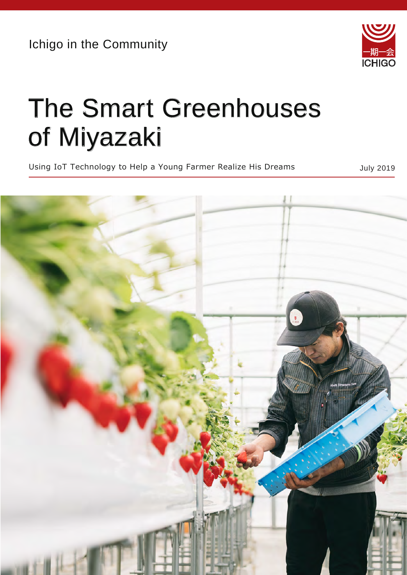Ichigo in the Community



## The Smart Greenhouses of Miyazaki

Using IoT Technology to Help a Young Farmer Realize His Dreams and Muly 2019

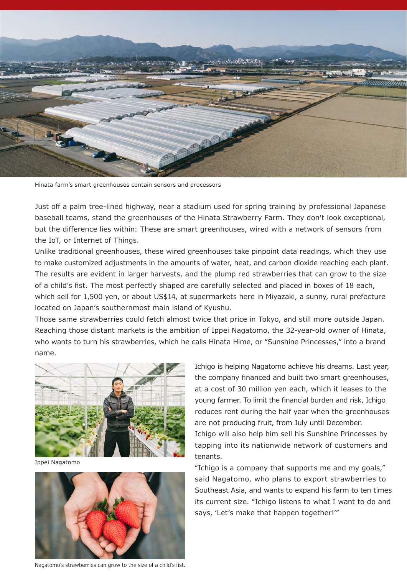

Hinata farm's smart greenhouses contain sensors and processors

Just off a palm tree-lined highway, near a stadium used for spring training by professional Japanese baseball teams, stand the greenhouses of the Hinata Strawberry Farm. They don't look exceptional, but the difference lies within: These are smart greenhouses, wired with a network of sensors from the IoT, or Internet of Things.

Unlike traditional greenhouses, these wired greenhouses take pinpoint data readings, which they use to make customized adjustments in the amounts of water, heat, and carbon dioxide reaching each plant. The results are evident in larger harvests, and the plump red strawberries that can grow to the size of a child's fist. The most perfectly shaped are carefully selected and placed in boxes of 18 each, which sell for 1,500 yen, or about US\$14, at supermarkets here in Miyazaki, a sunny, rural prefecture located on Japan's southernmost main island of Kyushu.

who wants to turn his strawberries, which he calls Hinata Hime, or "Sunshine Princesses," into a brand Those same strawberries could fetch almost twice that price in Tokyo, and still more outside Japan. Reaching those distant markets is the ambition of Ippei Nagatomo, the 32-year-old owner of Hinata, name.



Ippei Nagatomo



Nagatomo's strawberries can grow to the size of a child's fist.

Ichigo is helping Nagatomo achieve his dreams. Last year, the company financed and built two smart greenhouses, at a cost of 30 million yen each, which it leases to the young farmer. To limit the financial burden and risk, Ichigo reduces rent during the half year when the greenhouses are not producing fruit, from July until December.

Ichigo will also help him sell his Sunshine Princesses by tapping into its nationwide network of customers and tenants.

"Ichigo is a company that supports me and my goals," said Nagatomo, who plans to export strawberries to Southeast Asia, and wants to expand his farm to ten times its current size. "Ichigo listens to what I want to do and says, ʻLet's make that happen together!'"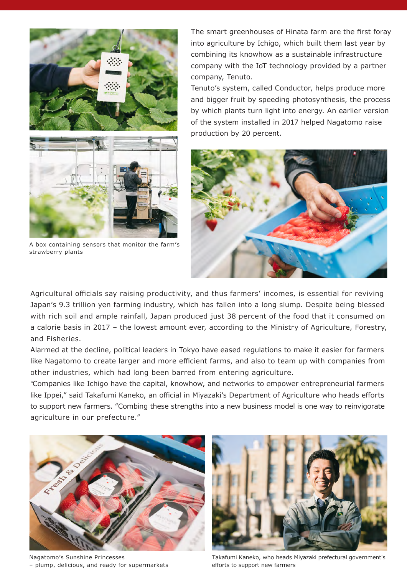

A box containing sensors that monitor the farm's strawberry plants

The smart greenhouses of Hinata farm are the first foray into agriculture by Ichigo, which built them last year by combining its knowhow as a sustainable infrastructure company with the IoT technology provided by a partner company, Tenuto.

Tenuto's system, called Conductor, helps produce more and bigger fruit by speeding photosynthesis, the process by which plants turn light into energy. An earlier version of the system installed in 2017 helped Nagatomo raise production by 20 percent.



Agricultural officials say raising productivity, and thus farmers' incomes, is essential for reviving Japan's 9.3 trillion yen farming industry, which has fallen into a long slump. Despite being blessed with rich soil and ample rainfall, Japan produced just 38 percent of the food that it consumed on a calorie basis in 2017 – the lowest amount ever, according to the Ministry of Agriculture, Forestry, and Fisheries.

Alarmed at the decline, political leaders in Tokyo have eased regulations to make it easier for farmers like Nagatomo to create larger and more efficient farms, and also to team up with companies from other industries, which had long been barred from entering agriculture.

"Companies like Ichigo have the capital, knowhow, and networks to empower entrepreneurial farmers like Ippei," said Takafumi Kaneko, an official in Miyazaki's Department of Agriculture who heads efforts to support new farmers. "Combing these strengths into a new business model is one way to reinvigorate agriculture in our prefecture."



Nagatomo's Sunshine Princesses – plump, delicious, and ready for supermarkets



Takafumi Kaneko, who heads Miyazaki prefectural government's efforts to support new farmers